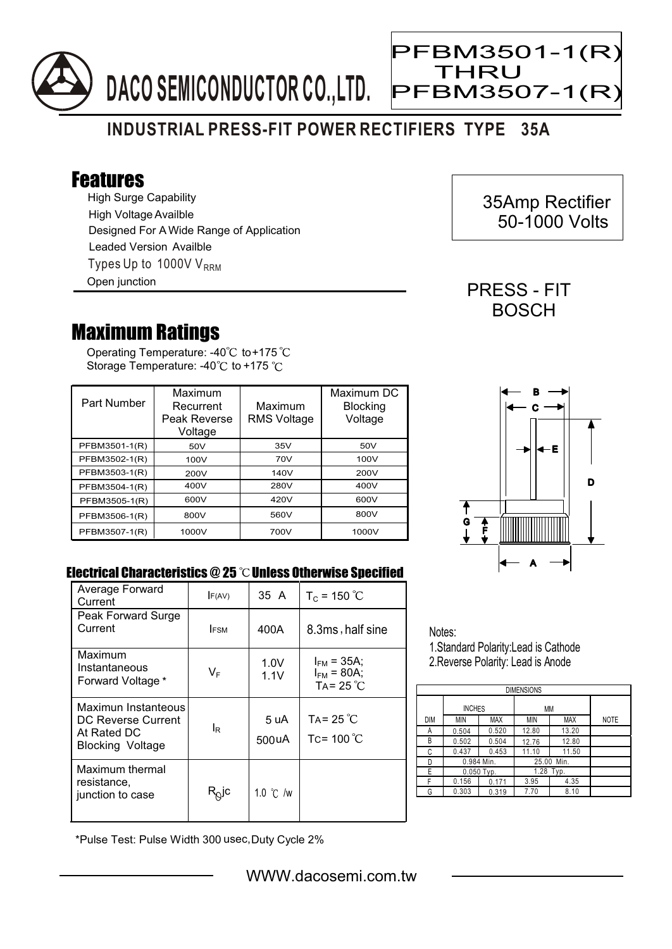

## **INDUSTRIAL PRESS-FIT POWER RECTIFIERS TYPE 35A**

## Features

High Surge Capability Types Up to 1000V  $V_{RRM}$ High Voltage Availble Designed For A Wide Range of Application Leaded Version Availble Open junction

## Maximum Ratings

Operating Temperature: -40 $^{\circ}\textrm{C}$  to+175 Storage Temperature: -40 $\degree$ C to +175  $\degree$ C

| Part Number   | Maximum<br>Recurrent<br>Peak Reverse<br>Voltage | Maximum<br><b>RMS Voltage</b> | Maximum DC<br><b>Blocking</b><br>Voltage |
|---------------|-------------------------------------------------|-------------------------------|------------------------------------------|
| PFBM3501-1(R) | 50V                                             | 35V                           | 50V                                      |
| PFBM3502-1(R) | 100V                                            | 70V                           | 100V                                     |
| PFBM3503-1(R) | 200V                                            | 140V                          | 200V                                     |
| PFBM3504-1(R) | 400V                                            | 280V                          | 400V                                     |
| PFBM3505-1(R) | 600V                                            | 420V                          | 600V                                     |
| PFBM3506-1(R) | 800V                                            | 560V                          | 800V                                     |
| PFBM3507-1(R) | 1000V                                           | 700V                          | 1000V                                    |



## Electrical Characteristics @ 25 °C Unless Otherwise Specified

| Average Forward<br>Current                                                          | F(AV)                                  | 35 A               | $T_c = 150 °C$                                             |
|-------------------------------------------------------------------------------------|----------------------------------------|--------------------|------------------------------------------------------------|
| Peak Forward Surge<br>Current                                                       | <b>IFSM</b>                            | 400A               | 8.3ms, half sine                                           |
| Maximum<br>Instantaneous<br>Forward Voltage *                                       | VF                                     | 1.0V<br>1.1V       | $I_{FM}$ = 35A;<br>$I_{FM} = 80A$ ;<br>TA= 25 $^{\circ}$ C |
| Maximun Instanteous<br>DC Reverse Current<br>At Rated DC<br><b>Blocking Voltage</b> | IR                                     | 5 uA<br>500uA      | TA= 25 $^{\circ}$ C<br>Tc= 100 $^{\circ}$ C                |
| Maximum thermal<br>resistance,<br>junction to case                                  | $\mathsf{R}_{\!\mathsf{Q}}\mathsf{jc}$ | 1.0 $\degree$ C /w |                                                            |

Notes: 1.Standard Polarity:Lead is Cathode

2.Reverse Polarity: Lead is Anode

| <b>DIMENSIONS</b> |               |            |               |            |             |  |  |  |  |
|-------------------|---------------|------------|---------------|------------|-------------|--|--|--|--|
|                   | <b>INCHES</b> |            | МM            |            |             |  |  |  |  |
| <b>DIM</b>        | <b>MIN</b>    | <b>MAX</b> | MIN           | <b>MAX</b> | <b>NOTE</b> |  |  |  |  |
| А                 | 0.504         | 0.520      | 12.80         | 13.20      |             |  |  |  |  |
| B                 | 0.502         | 0.504      | 12.76         | 12.80      |             |  |  |  |  |
| C                 | 0.437         | 0.453      | 11.10         | 11.50      |             |  |  |  |  |
| D                 | 0.984 Min.    |            | 25.00<br>Min. |            |             |  |  |  |  |
| Е                 | $0.050$ Typ.  |            | 1.28 Typ.     |            |             |  |  |  |  |
| F                 | 0.156         | 0.171      | 3.95          | 4.35       |             |  |  |  |  |
| G                 | 0.303         | 0.319      | 7.70          | 8.10       |             |  |  |  |  |

\*Pulse Test: Pulse Width 300 usec,Duty Cycle 2%

 35Amp Rectifier 50-1000 Volts

PRESS - FIT **BOSCH** 

PFBM3501-1(R)

**PFBM3507-1(F** 

THRU

Ξ